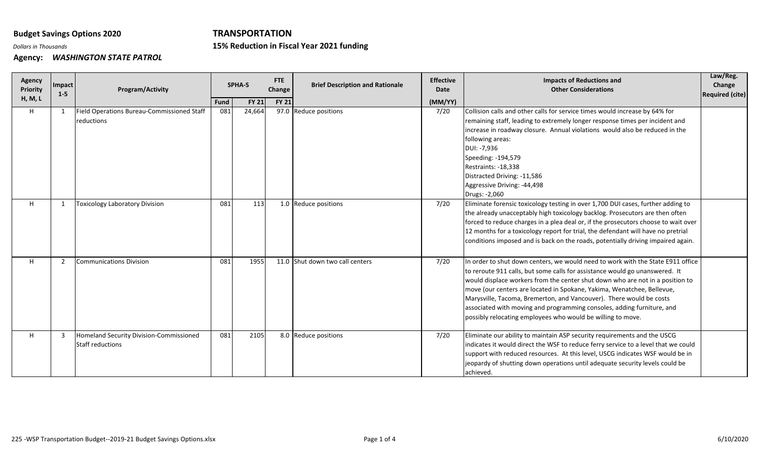## **Budget Savings Options 2020**

## **TRANSPORTATION**

**Reduction in Fiscal Year 2021 funding**

*Dollars in Thousands* **15%**

**Agency:** *WASHINGTON STATE PATROL*

| <b>Agency</b><br><b>Priority</b><br>H, M, L | Impact<br>$1 - 5$ | Program/Activity                                                   |             | <b>SPHA-S</b> | FTE<br>Change | <b>Brief Description and Rationale</b> | <b>Effective</b><br>Date | <b>Impacts of Reductions and</b><br><b>Other Considerations</b>                                                                                                                                                                                                                                                                                                                                                                                                                                                                           | Law/Reg.<br>Change<br><b>Required (cite)</b> |
|---------------------------------------------|-------------------|--------------------------------------------------------------------|-------------|---------------|---------------|----------------------------------------|--------------------------|-------------------------------------------------------------------------------------------------------------------------------------------------------------------------------------------------------------------------------------------------------------------------------------------------------------------------------------------------------------------------------------------------------------------------------------------------------------------------------------------------------------------------------------------|----------------------------------------------|
|                                             |                   |                                                                    | <b>Fund</b> | <b>FY 21</b>  | <b>FY 21</b>  |                                        | (MM/YY)                  |                                                                                                                                                                                                                                                                                                                                                                                                                                                                                                                                           |                                              |
| H                                           | 1                 | Field Operations Bureau-Commissioned Staff<br>reductions           | 081         | 24,664        |               | 97.0 Reduce positions                  | 7/20                     | Collision calls and other calls for service times would increase by 64% for<br>remaining staff, leading to extremely longer response times per incident and<br>increase in roadway closure. Annual violations would also be reduced in the<br>following areas:<br>DUI: -7,936<br>Speeding: -194,579<br>Restraints: -18,338<br>Distracted Driving: -11,586<br>Aggressive Driving: -44,498<br>Drugs: -2,060                                                                                                                                 |                                              |
| H                                           | -1                | <b>Toxicology Laboratory Division</b>                              | 081         | 113           | 1.0           | Reduce positions                       | 7/20                     | Eliminate forensic toxicology testing in over 1,700 DUI cases, further adding to<br>the already unacceptably high toxicology backlog. Prosecutors are then often<br>forced to reduce charges in a plea deal or, if the prosecutors choose to wait over<br>12 months for a toxicology report for trial, the defendant will have no pretrial<br>conditions imposed and is back on the roads, potentially driving impaired again.                                                                                                            |                                              |
| H                                           | 2                 | <b>Communications Division</b>                                     | 081         | 1955          |               | 11.0 Shut down two call centers        | 7/20                     | In order to shut down centers, we would need to work with the State E911 office<br>to reroute 911 calls, but some calls for assistance would go unanswered. It<br>would displace workers from the center shut down who are not in a position to<br>move (our centers are located in Spokane, Yakima, Wenatchee, Bellevue,<br>Marysville, Tacoma, Bremerton, and Vancouver). There would be costs<br>associated with moving and programming consoles, adding furniture, and<br>possibly relocating employees who would be willing to move. |                                              |
| H                                           | 3                 | Homeland Security Division-Commissioned<br><b>Staff reductions</b> | 081         | 2105          |               | 8.0 Reduce positions                   | 7/20                     | Eliminate our ability to maintain ASP security requirements and the USCG<br>indicates it would direct the WSF to reduce ferry service to a level that we could<br>support with reduced resources. At this level, USCG indicates WSF would be in<br>jeopardy of shutting down operations until adequate security levels could be<br>achieved.                                                                                                                                                                                              |                                              |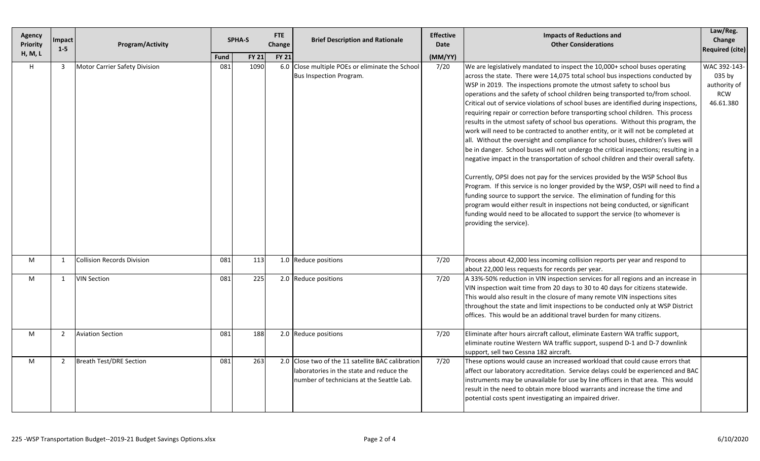| Agency<br><b>Priority</b><br>H, M, L | <b>Impact</b><br>$1 - 5$ | <b>Program/Activity</b>           | <b>FTE</b><br><b>SPHA-S</b><br>Change |                      |              | <b>Brief Description and Rationale</b>                                                                                                     | <b>Effective</b><br>Date | <b>Impacts of Reductions and</b><br><b>Other Considerations</b>                                                                                                                                                                                                                                                                                                                                                                                                                                                                                                                                                                                                                                                                                                                                                                                                                                                                                                                                                                                                                                                                                                                                                                                                                                                                                                     | Law/Reg.<br>Change<br><b>Required (cite)</b>                      |
|--------------------------------------|--------------------------|-----------------------------------|---------------------------------------|----------------------|--------------|--------------------------------------------------------------------------------------------------------------------------------------------|--------------------------|---------------------------------------------------------------------------------------------------------------------------------------------------------------------------------------------------------------------------------------------------------------------------------------------------------------------------------------------------------------------------------------------------------------------------------------------------------------------------------------------------------------------------------------------------------------------------------------------------------------------------------------------------------------------------------------------------------------------------------------------------------------------------------------------------------------------------------------------------------------------------------------------------------------------------------------------------------------------------------------------------------------------------------------------------------------------------------------------------------------------------------------------------------------------------------------------------------------------------------------------------------------------------------------------------------------------------------------------------------------------|-------------------------------------------------------------------|
| H                                    | 3                        | Motor Carrier Safety Division     | Fund<br>081                           | <b>FY 21</b><br>1090 | <b>FY 21</b> | 6.0 Close multiple POEs or eliminate the School<br>Bus Inspection Program.                                                                 | (MM/YY)<br>7/20          | We are legislatively mandated to inspect the 10,000+ school buses operating<br>across the state. There were 14,075 total school bus inspections conducted by<br>WSP in 2019. The inspections promote the utmost safety to school bus<br>operations and the safety of school children being transported to/from school.<br>Critical out of service violations of school buses are identified during inspections,<br>requiring repair or correction before transporting school children. This process<br>results in the utmost safety of school bus operations. Without this program, the<br>work will need to be contracted to another entity, or it will not be completed at<br>all. Without the oversight and compliance for school buses, children's lives will<br>be in danger. School buses will not undergo the critical inspections; resulting in a<br>negative impact in the transportation of school children and their overall safety.<br>Currently, OPSI does not pay for the services provided by the WSP School Bus<br>Program. If this service is no longer provided by the WSP, OSPI will need to find a<br>funding source to support the service. The elimination of funding for this<br>program would either result in inspections not being conducted, or significant<br>funding would need to be allocated to support the service (to whomever is | WAC 392-143-<br>035 by<br>authority of<br><b>RCW</b><br>46.61.380 |
| M                                    | 1                        | <b>Collision Records Division</b> | 081                                   | 113                  |              | 1.0 Reduce positions                                                                                                                       | 7/20                     | providing the service).<br>Process about 42,000 less incoming collision reports per year and respond to<br>about 22,000 less requests for records per year.                                                                                                                                                                                                                                                                                                                                                                                                                                                                                                                                                                                                                                                                                                                                                                                                                                                                                                                                                                                                                                                                                                                                                                                                         |                                                                   |
| M                                    | $\mathbf{1}$             | <b>VIN Section</b>                | 081                                   | 225                  |              | 2.0 Reduce positions                                                                                                                       | 7/20                     | A 33%-50% reduction in VIN inspection services for all regions and an increase in<br>VIN inspection wait time from 20 days to 30 to 40 days for citizens statewide.<br>This would also result in the closure of many remote VIN inspections sites<br>throughout the state and limit inspections to be conducted only at WSP District<br>offices. This would be an additional travel burden for many citizens.                                                                                                                                                                                                                                                                                                                                                                                                                                                                                                                                                                                                                                                                                                                                                                                                                                                                                                                                                       |                                                                   |
| M                                    | $\mathbf{2}$             | <b>Aviation Section</b>           | 081                                   | 188                  |              | 2.0 Reduce positions                                                                                                                       | 7/20                     | Eliminate after hours aircraft callout, eliminate Eastern WA traffic support,<br>eliminate routine Western WA traffic support, suspend D-1 and D-7 downlink<br>support, sell two Cessna 182 aircraft.                                                                                                                                                                                                                                                                                                                                                                                                                                                                                                                                                                                                                                                                                                                                                                                                                                                                                                                                                                                                                                                                                                                                                               |                                                                   |
| M                                    | $\overline{2}$           | <b>Breath Test/DRE Section</b>    | 081                                   | 263                  |              | 2.0 Close two of the 11 satellite BAC calibration<br>laboratories in the state and reduce the<br>number of technicians at the Seattle Lab. | 7/20                     | These options would cause an increased workload that could cause errors that<br>affect our laboratory accreditation. Service delays could be experienced and BAC<br>instruments may be unavailable for use by line officers in that area. This would<br>result in the need to obtain more blood warrants and increase the time and<br>potential costs spent investigating an impaired driver.                                                                                                                                                                                                                                                                                                                                                                                                                                                                                                                                                                                                                                                                                                                                                                                                                                                                                                                                                                       |                                                                   |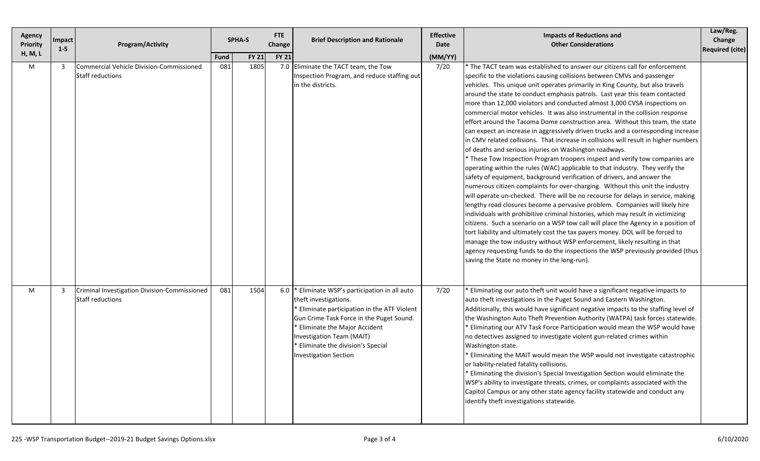| Agency<br><b>Priority</b> | Impact<br>$1 - 5$ | <b>Program/Activity</b>                                             |                    | <b>FTE</b><br><b>SPHA-S</b><br>Change |              | <b>Brief Description and Rationale</b>                                                                                                                                                                                                                                                               | <b>Effective</b><br>Date | <b>Impacts of Reductions and</b><br><b>Other Considerations</b>                                                                                                                                                                                                                                                                                                                                                                                                                                                                                                                                                                                                                                                                                                                                                                                                                                                                                                                                                                                                                                                                                                                                                                                                                                                                                                                                                                                                                                                                                                                                                                                                                                                                                                                            | Law/Reg.<br>Change<br><b>Required (cite)</b> |
|---------------------------|-------------------|---------------------------------------------------------------------|--------------------|---------------------------------------|--------------|------------------------------------------------------------------------------------------------------------------------------------------------------------------------------------------------------------------------------------------------------------------------------------------------------|--------------------------|--------------------------------------------------------------------------------------------------------------------------------------------------------------------------------------------------------------------------------------------------------------------------------------------------------------------------------------------------------------------------------------------------------------------------------------------------------------------------------------------------------------------------------------------------------------------------------------------------------------------------------------------------------------------------------------------------------------------------------------------------------------------------------------------------------------------------------------------------------------------------------------------------------------------------------------------------------------------------------------------------------------------------------------------------------------------------------------------------------------------------------------------------------------------------------------------------------------------------------------------------------------------------------------------------------------------------------------------------------------------------------------------------------------------------------------------------------------------------------------------------------------------------------------------------------------------------------------------------------------------------------------------------------------------------------------------------------------------------------------------------------------------------------------------|----------------------------------------------|
| <b>H, M, L</b><br>M       | 3                 | <b>Commercial Vehicle Division-Commissioned</b><br>Staff reductions | <b>Fund</b><br>081 | <b>FY 21</b><br>1805                  | <b>FY 21</b> | 7.0 Eliminate the TACT team, the Tow<br>Inspection Program, and reduce staffing out<br>in the districts.                                                                                                                                                                                             | (MM/YY)<br>7/20          | * The TACT team was established to answer our citizens call for enforcement<br>specific to the violations causing collisions between CMVs and passenger<br>vehicles. This unique unit operates primarily in King County, but also travels<br>around the state to conduct emphasis patrols. Last year this team contacted<br>more than 12,000 violators and conducted almost 3,000 CVSA inspections on<br>commercial motor vehicles. It was also instrumental in the collision response<br>effort around the Tacoma Dome construction area. Without this team, the state<br>can expect an increase in aggressively driven trucks and a corresponding increase<br>in CMV related collisions. That increase in collisions will result in higher numbers<br>of deaths and serious injuries on Washington roadways.<br>* These Tow Inspection Program troopers inspect and verify tow companies are<br>operating within the rules (WAC) applicable to that industry. They verify the<br>safety of equipment, background verification of drivers, and answer the<br>numerous citizen complaints for over-charging. Without this unit the industry<br>will operate un-checked. There will be no recourse for delays in service, making<br>lengthy road closures become a pervasive problem. Companies will likely hire<br>individuals with prohibitive criminal histories, which may result in victimizing<br>citizens. Such a scenario on a WSP tow call will place the Agency in a position of<br>tort liability and ultimately cost the tax payers money. DOL will be forced to<br>manage the tow industry without WSP enforcement, likely resulting in that<br>agency requesting funds to do the inspections the WSP previously provided (thus<br>saving the State no money in the long-run). |                                              |
| M                         | 3                 | Criminal Investigation Division-Commissioned<br>Staff reductions    | 081                | 1504                                  | 6.0          | Eliminate WSP's participation in all auto<br>theft investigations.<br>Eliminate participation in the ATF Violent<br>Gun Crime Task Force in the Puget Sound.<br><b>Eliminate the Major Accident</b><br>Investigation Team (MAIT)<br>Eliminate the division's Special<br><b>Investigation Section</b> | 7/20                     | * Eliminating our auto theft unit would have a significant negative impacts to<br>auto theft investigations in the Puget Sound and Eastern Washington.<br>Additionally, this would have significant negative impacts to the staffing level of<br>the Washington Auto Theft Prevention Authority (WATPA) task forces statewide.<br>* Eliminating our ATV Task Force Participation would mean the WSP would have<br>no detectives assigned to investigate violent gun-related crimes within<br>Washington state.<br><b>Eliminating the MAIT would mean the WSP would not investigate catastrophic</b><br>or liability-related fatality collisions.<br>* Eliminating the division's Special Investigation Section would eliminate the<br>WSP's ability to investigate threats, crimes, or complaints associated with the<br>Capitol Campus or any other state agency facility statewide and conduct any<br>identify theft investigations statewide.                                                                                                                                                                                                                                                                                                                                                                                                                                                                                                                                                                                                                                                                                                                                                                                                                                           |                                              |